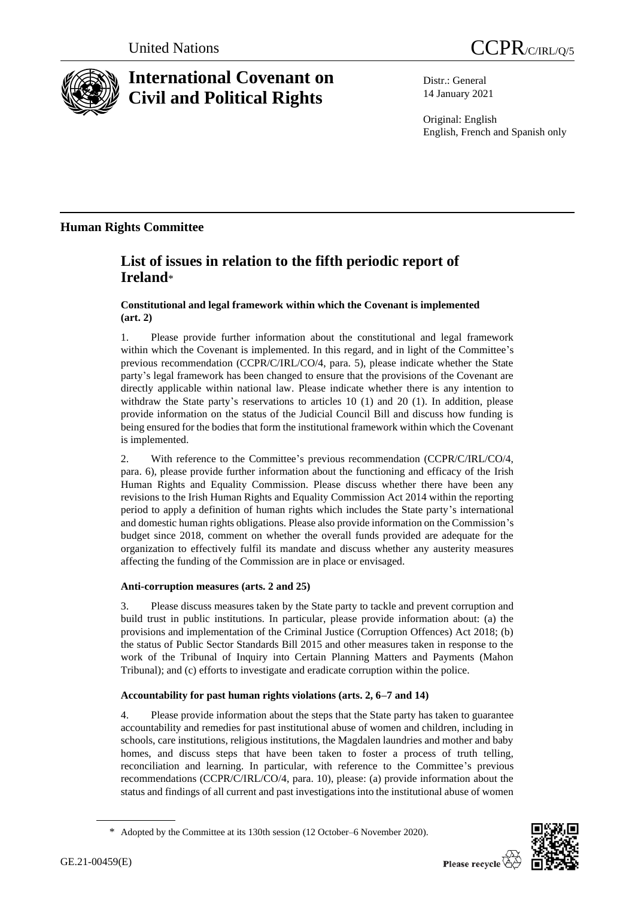



# **International Covenant on Civil and Political Rights**

Distr.: General 14 January 2021

Original: English English, French and Spanish only

## **Human Rights Committee**

## **List of issues in relation to the fifth periodic report of Ireland**\*

### **Constitutional and legal framework within which the Covenant is implemented (art. 2)**

1. Please provide further information about the constitutional and legal framework within which the Covenant is implemented. In this regard, and in light of the Committee's previous recommendation (CCPR/C/IRL/CO/4, para. 5), please indicate whether the State party's legal framework has been changed to ensure that the provisions of the Covenant are directly applicable within national law. Please indicate whether there is any intention to withdraw the State party's reservations to articles 10 (1) and 20 (1). In addition, please provide information on the status of the Judicial Council Bill and discuss how funding is being ensured for the bodies that form the institutional framework within which the Covenant is implemented.

2. With reference to the Committee's previous recommendation (CCPR/C/IRL/CO/4, para. 6), please provide further information about the functioning and efficacy of the Irish Human Rights and Equality Commission. Please discuss whether there have been any revisions to the Irish Human Rights and Equality Commission Act 2014 within the reporting period to apply a definition of human rights which includes the State party's international and domestic human rights obligations. Please also provide information on the Commission's budget since 2018, comment on whether the overall funds provided are adequate for the organization to effectively fulfil its mandate and discuss whether any austerity measures affecting the funding of the Commission are in place or envisaged.

## **Anti-corruption measures (arts. 2 and 25)**

3. Please discuss measures taken by the State party to tackle and prevent corruption and build trust in public institutions. In particular, please provide information about: (a) the provisions and implementation of the Criminal Justice (Corruption Offences) Act 2018; (b) the status of Public Sector Standards Bill 2015 and other measures taken in response to the work of the Tribunal of Inquiry into Certain Planning Matters and Payments (Mahon Tribunal); and (c) efforts to investigate and eradicate corruption within the police.

## **Accountability for past human rights violations (arts. 2, 6–7 and 14)**

4. Please provide information about the steps that the State party has taken to guarantee accountability and remedies for past institutional abuse of women and children, including in schools, care institutions, religious institutions, the Magdalen laundries and mother and baby homes, and discuss steps that have been taken to foster a process of truth telling, reconciliation and learning. In particular, with reference to the Committee's previous recommendations (CCPR/C/IRL/CO/4, para. 10), please: (a) provide information about the status and findings of all current and past investigations into the institutional abuse of women



<sup>\*</sup> Adopted by the Committee at its 130th session (12 October–6 November 2020).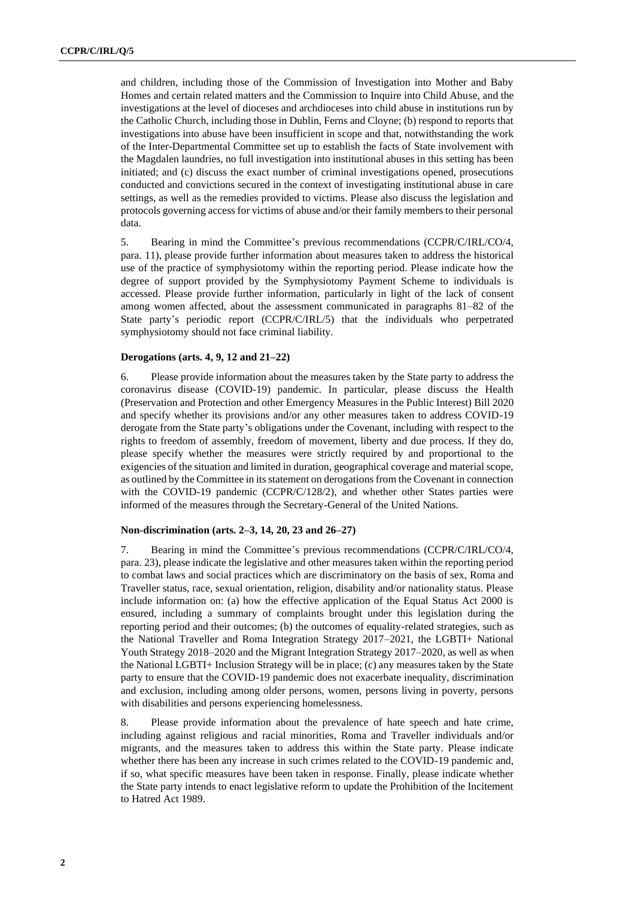and children, including those of the Commission of Investigation into Mother and Baby Homes and certain related matters and the Commission to Inquire into Child Abuse, and the investigations at the level of dioceses and archdioceses into child abuse in institutions run by the Catholic Church, including those in Dublin, Ferns and Cloyne; (b) respond to reports that investigations into abuse have been insufficient in scope and that, notwithstanding the work of the Inter-Departmental Committee set up to establish the facts of State involvement with the Magdalen laundries, no full investigation into institutional abuses in this setting has been initiated; and (c) discuss the exact number of criminal investigations opened, prosecutions conducted and convictions secured in the context of investigating institutional abuse in care settings, as well as the remedies provided to victims. Please also discuss the legislation and protocols governing access for victims of abuse and/or their family members to their personal data.

5. Bearing in mind the Committee's previous recommendations (CCPR/C/IRL/CO/4, para. 11), please provide further information about measures taken to address the historical use of the practice of symphysiotomy within the reporting period. Please indicate how the degree of support provided by the Symphysiotomy Payment Scheme to individuals is accessed. Please provide further information, particularly in light of the lack of consent among women affected, about the assessment communicated in paragraphs 81–82 of the State party's periodic report (CCPR/C/IRL/5) that the individuals who perpetrated symphysiotomy should not face criminal liability.

#### **Derogations (arts. 4, 9, 12 and 21–22)**

6. Please provide information about the measures taken by the State party to address the coronavirus disease (COVID-19) pandemic. In particular, please discuss the Health (Preservation and Protection and other Emergency Measures in the Public Interest) Bill 2020 and specify whether its provisions and/or any other measures taken to address COVID-19 derogate from the State party's obligations under the Covenant, including with respect to the rights to freedom of assembly, freedom of movement, liberty and due process. If they do, please specify whether the measures were strictly required by and proportional to the exigencies of the situation and limited in duration, geographical coverage and material scope, as outlined by the Committee in its statement on derogations from the Covenant in connection with the COVID-19 pandemic (CCPR/C/128/2), and whether other States parties were informed of the measures through the Secretary-General of the United Nations.

#### **Non-discrimination (arts. 2–3, 14, 20, 23 and 26–27)**

7. Bearing in mind the Committee's previous recommendations (CCPR/C/IRL/CO/4, para. 23), please indicate the legislative and other measures taken within the reporting period to combat laws and social practices which are discriminatory on the basis of sex, Roma and Traveller status, race, sexual orientation, religion, disability and/or nationality status. Please include information on: (a) how the effective application of the Equal Status Act 2000 is ensured, including a summary of complaints brought under this legislation during the reporting period and their outcomes; (b) the outcomes of equality-related strategies, such as the National Traveller and Roma Integration Strategy 2017–2021, the LGBTI+ National Youth Strategy 2018–2020 and the Migrant Integration Strategy 2017–2020, as well as when the National LGBTI+ Inclusion Strategy will be in place; (c) any measures taken by the State party to ensure that the COVID-19 pandemic does not exacerbate inequality, discrimination and exclusion, including among older persons, women, persons living in poverty, persons with disabilities and persons experiencing homelessness.

8. Please provide information about the prevalence of hate speech and hate crime, including against religious and racial minorities, Roma and Traveller individuals and/or migrants, and the measures taken to address this within the State party. Please indicate whether there has been any increase in such crimes related to the COVID-19 pandemic and, if so, what specific measures have been taken in response. Finally, please indicate whether the State party intends to enact legislative reform to update the Prohibition of the Incitement to Hatred Act 1989.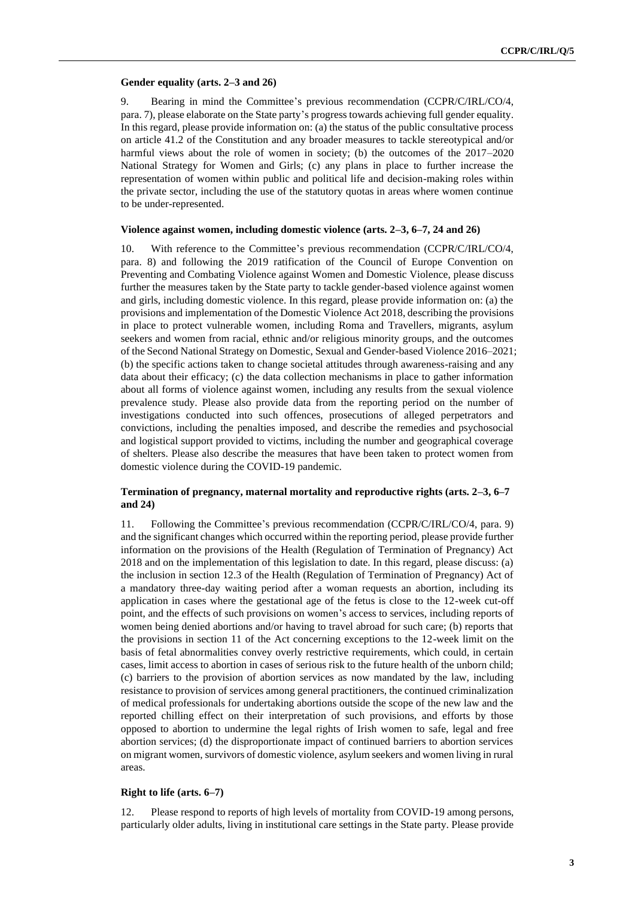#### **Gender equality (arts. 2–3 and 26)**

9. Bearing in mind the Committee's previous recommendation (CCPR/C/IRL/CO/4, para. 7), please elaborate on the State party's progress towards achieving full gender equality. In this regard, please provide information on: (a) the status of the public consultative process on article 41.2 of the Constitution and any broader measures to tackle stereotypical and/or harmful views about the role of women in society; (b) the outcomes of the  $2017–2020$ National Strategy for Women and Girls; (c) any plans in place to further increase the representation of women within public and political life and decision-making roles within the private sector, including the use of the statutory quotas in areas where women continue to be under-represented.

#### **Violence against women, including domestic violence (arts. 2–3, 6–7, 24 and 26)**

10. With reference to the Committee's previous recommendation (CCPR/C/IRL/CO/4, para. 8) and following the 2019 ratification of the Council of Europe Convention on Preventing and Combating Violence against Women and Domestic Violence, please discuss further the measures taken by the State party to tackle gender-based violence against women and girls, including domestic violence. In this regard, please provide information on: (a) the provisions and implementation of the Domestic Violence Act 2018, describing the provisions in place to protect vulnerable women, including Roma and Travellers, migrants, asylum seekers and women from racial, ethnic and/or religious minority groups, and the outcomes of the Second National Strategy on Domestic, Sexual and Gender-based Violence 2016–2021; (b) the specific actions taken to change societal attitudes through awareness-raising and any data about their efficacy; (c) the data collection mechanisms in place to gather information about all forms of violence against women, including any results from the sexual violence prevalence study. Please also provide data from the reporting period on the number of investigations conducted into such offences, prosecutions of alleged perpetrators and convictions, including the penalties imposed, and describe the remedies and psychosocial and logistical support provided to victims, including the number and geographical coverage of shelters. Please also describe the measures that have been taken to protect women from domestic violence during the COVID-19 pandemic.

#### **Termination of pregnancy, maternal mortality and reproductive rights (arts. 2–3, 6–7 and 24)**

11. Following the Committee's previous recommendation (CCPR/C/IRL/CO/4, para. 9) and the significant changes which occurred within the reporting period, please provide further information on the provisions of the Health (Regulation of Termination of Pregnancy) Act 2018 and on the implementation of this legislation to date. In this regard, please discuss: (a) the inclusion in section 12.3 of the Health (Regulation of Termination of Pregnancy) Act of a mandatory three-day waiting period after a woman requests an abortion, including its application in cases where the gestational age of the fetus is close to the 12-week cut-off point, and the effects of such provisions on women's access to services, including reports of women being denied abortions and/or having to travel abroad for such care; (b) reports that the provisions in section 11 of the Act concerning exceptions to the 12-week limit on the basis of fetal abnormalities convey overly restrictive requirements, which could, in certain cases, limit access to abortion in cases of serious risk to the future health of the unborn child; (c) barriers to the provision of abortion services as now mandated by the law, including resistance to provision of services among general practitioners, the continued criminalization of medical professionals for undertaking abortions outside the scope of the new law and the reported chilling effect on their interpretation of such provisions, and efforts by those opposed to abortion to undermine the legal rights of Irish women to safe, legal and free abortion services; (d) the disproportionate impact of continued barriers to abortion services on migrant women, survivors of domestic violence, asylum seekers and women living in rural areas.

#### **Right to life (arts. 6–7)**

12. Please respond to reports of high levels of mortality from COVID-19 among persons, particularly older adults, living in institutional care settings in the State party. Please provide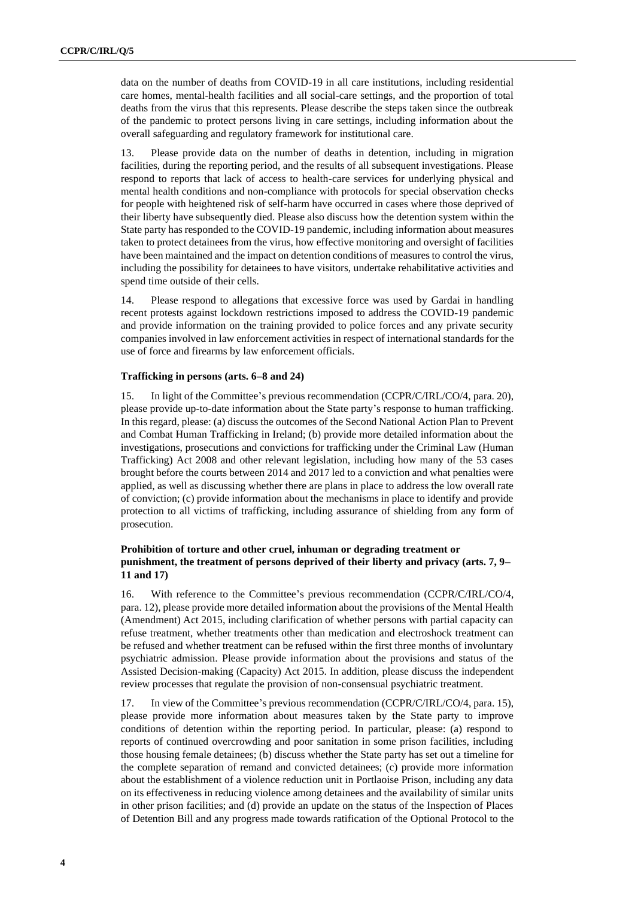data on the number of deaths from COVID-19 in all care institutions, including residential care homes, mental-health facilities and all social-care settings, and the proportion of total deaths from the virus that this represents. Please describe the steps taken since the outbreak of the pandemic to protect persons living in care settings, including information about the overall safeguarding and regulatory framework for institutional care.

13. Please provide data on the number of deaths in detention, including in migration facilities, during the reporting period, and the results of all subsequent investigations. Please respond to reports that lack of access to health-care services for underlying physical and mental health conditions and non-compliance with protocols for special observation checks for people with heightened risk of self-harm have occurred in cases where those deprived of their liberty have subsequently died. Please also discuss how the detention system within the State party has responded to the COVID-19 pandemic, including information about measures taken to protect detainees from the virus, how effective monitoring and oversight of facilities have been maintained and the impact on detention conditions of measures to control the virus, including the possibility for detainees to have visitors, undertake rehabilitative activities and spend time outside of their cells.

14. Please respond to allegations that excessive force was used by Gardai in handling recent protests against lockdown restrictions imposed to address the COVID-19 pandemic and provide information on the training provided to police forces and any private security companies involved in law enforcement activities in respect of international standards for the use of force and firearms by law enforcement officials.

#### **Trafficking in persons (arts. 6–8 and 24)**

15. In light of the Committee's previous recommendation (CCPR/C/IRL/CO/4, para. 20), please provide up-to-date information about the State party's response to human trafficking. In this regard, please: (a) discuss the outcomes of the Second National Action Plan to Prevent and Combat Human Trafficking in Ireland; (b) provide more detailed information about the investigations, prosecutions and convictions for trafficking under the Criminal Law (Human Trafficking) Act 2008 and other relevant legislation, including how many of the 53 cases brought before the courts between 2014 and 2017 led to a conviction and what penalties were applied, as well as discussing whether there are plans in place to address the low overall rate of conviction; (c) provide information about the mechanisms in place to identify and provide protection to all victims of trafficking, including assurance of shielding from any form of prosecution.

#### **Prohibition of torture and other cruel, inhuman or degrading treatment or punishment, the treatment of persons deprived of their liberty and privacy (arts. 7, 9– 11 and 17)**

16. With reference to the Committee's previous recommendation (CCPR/C/IRL/CO/4, para. 12), please provide more detailed information about the provisions of the Mental Health (Amendment) Act 2015, including clarification of whether persons with partial capacity can refuse treatment, whether treatments other than medication and electroshock treatment can be refused and whether treatment can be refused within the first three months of involuntary psychiatric admission. Please provide information about the provisions and status of the Assisted Decision-making (Capacity) Act 2015. In addition, please discuss the independent review processes that regulate the provision of non-consensual psychiatric treatment.

17. In view of the Committee's previous recommendation (CCPR/C/IRL/CO/4, para. 15), please provide more information about measures taken by the State party to improve conditions of detention within the reporting period. In particular, please: (a) respond to reports of continued overcrowding and poor sanitation in some prison facilities, including those housing female detainees; (b) discuss whether the State party has set out a timeline for the complete separation of remand and convicted detainees; (c) provide more information about the establishment of a violence reduction unit in Portlaoise Prison, including any data on its effectiveness in reducing violence among detainees and the availability of similar units in other prison facilities; and (d) provide an update on the status of the Inspection of Places of Detention Bill and any progress made towards ratification of the Optional Protocol to the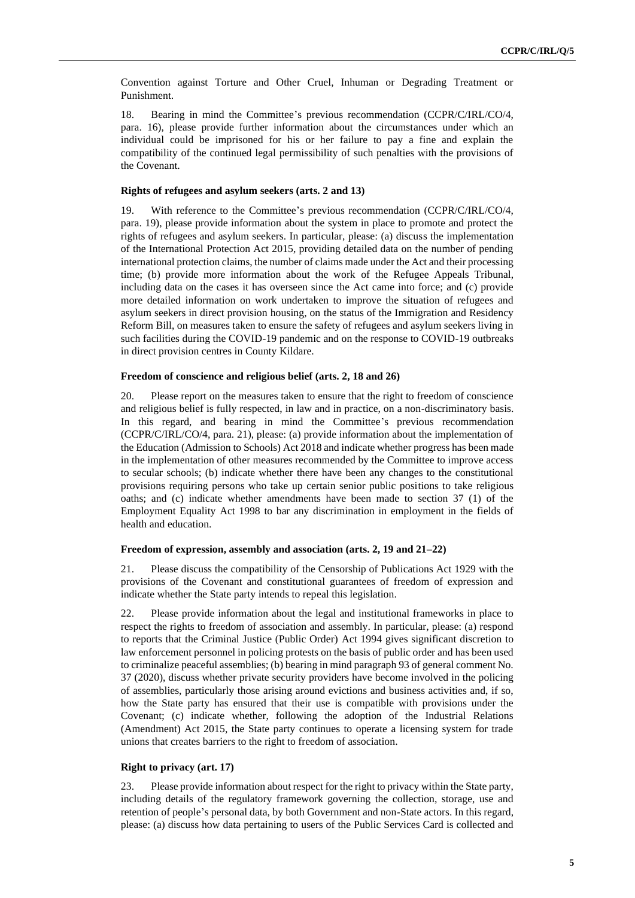Convention against Torture and Other Cruel, Inhuman or Degrading Treatment or Punishment.

18. Bearing in mind the Committee's previous recommendation (CCPR/C/IRL/CO/4, para. 16), please provide further information about the circumstances under which an individual could be imprisoned for his or her failure to pay a fine and explain the compatibility of the continued legal permissibility of such penalties with the provisions of the Covenant.

#### **Rights of refugees and asylum seekers (arts. 2 and 13)**

19. With reference to the Committee's previous recommendation (CCPR/C/IRL/CO/4, para. 19), please provide information about the system in place to promote and protect the rights of refugees and asylum seekers. In particular, please: (a) discuss the implementation of the International Protection Act 2015, providing detailed data on the number of pending international protection claims, the number of claims made under the Act and their processing time; (b) provide more information about the work of the Refugee Appeals Tribunal, including data on the cases it has overseen since the Act came into force; and (c) provide more detailed information on work undertaken to improve the situation of refugees and asylum seekers in direct provision housing, on the status of the Immigration and Residency Reform Bill, on measures taken to ensure the safety of refugees and asylum seekers living in such facilities during the COVID-19 pandemic and on the response to COVID-19 outbreaks in direct provision centres in County Kildare.

#### **Freedom of conscience and religious belief (arts. 2, 18 and 26)**

20. Please report on the measures taken to ensure that the right to freedom of conscience and religious belief is fully respected, in law and in practice, on a non-discriminatory basis. In this regard, and bearing in mind the Committee's previous recommendation (CCPR/C/IRL/CO/4, para. 21), please: (a) provide information about the implementation of the Education (Admission to Schools) Act 2018 and indicate whether progress has been made in the implementation of other measures recommended by the Committee to improve access to secular schools; (b) indicate whether there have been any changes to the constitutional provisions requiring persons who take up certain senior public positions to take religious oaths; and (c) indicate whether amendments have been made to section 37 (1) of the Employment Equality Act 1998 to bar any discrimination in employment in the fields of health and education.

#### **Freedom of expression, assembly and association (arts. 2, 19 and 21–22)**

21. Please discuss the compatibility of the Censorship of Publications Act 1929 with the provisions of the Covenant and constitutional guarantees of freedom of expression and indicate whether the State party intends to repeal this legislation.

22. Please provide information about the legal and institutional frameworks in place to respect the rights to freedom of association and assembly. In particular, please: (a) respond to reports that the Criminal Justice (Public Order) Act 1994 gives significant discretion to law enforcement personnel in policing protests on the basis of public order and has been used to criminalize peaceful assemblies; (b) bearing in mind paragraph 93 of general comment No. 37 (2020), discuss whether private security providers have become involved in the policing of assemblies, particularly those arising around evictions and business activities and, if so, how the State party has ensured that their use is compatible with provisions under the Covenant; (c) indicate whether, following the adoption of the Industrial Relations (Amendment) Act 2015, the State party continues to operate a licensing system for trade unions that creates barriers to the right to freedom of association.

#### **Right to privacy (art. 17)**

23. Please provide information about respect for the right to privacy within the State party, including details of the regulatory framework governing the collection, storage, use and retention of people's personal data, by both Government and non-State actors. In this regard, please: (a) discuss how data pertaining to users of the Public Services Card is collected and